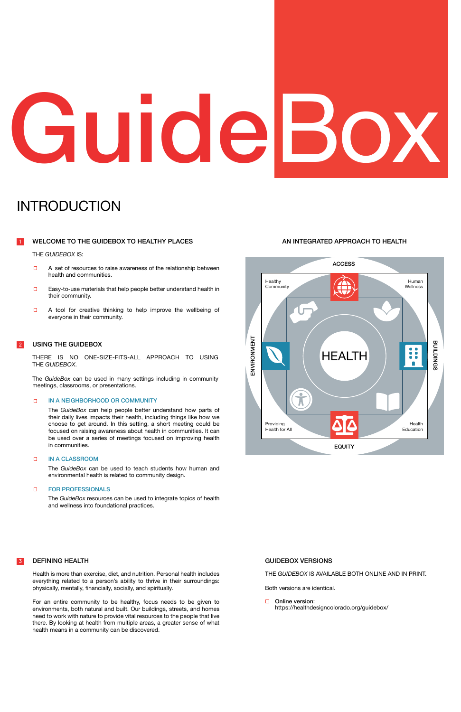### AN INTEGRATED APPROACH TO HEALTH



### THE *GUIDEBOX* IS:

USING THE GUIDEBOX<br>THERE IS NO ONE-SIZE-FITS-ALL APPROACH TO USING<br>THE GUIDEBOX. THE *GUIDEBOX*.

### IN A NEIGHBORHOOD OR COMMUNITY  $\Box$

### WELCOME TO THE GUIDEBOX TO HEALTHY PLACES 1

- A set of resources to raise awareness of the relationship between  $\Box$ health and communities.
- Easy-to-use materials that help people better understand health in  $\Box$ their community.
- $\Box$ A tool for creative thinking to help improve the wellbeing of everyone in their community.

### INTRODUCTION

### IN A CLASSROOM  $\Box$

### FOR PROFESSIONALS  $\Box$

The *GuideBox* can be used in many settings including in community meetings, classrooms, or presentations.

The *GuideBox* can help people better understand how parts of their daily lives impacts their health, including things like how we choose to get around. In this setting, a short meeting could be focused on raising awareness about health in communities. It can be used over a series of meetings focused on improving health in communities.

### 2 USING THE GUIDEBOX

□ Online version: <https://healthdesigncolorado.org/guidebox/>

The *GuideBox* can be used to teach students how human and environmental health is related to community design.

The *GuideBox* resources can be used to integrate topics of health and wellness into foundational practices.

### DEFINING HEALTH

Health is more than exercise, diet, and nutrition. Personal health includes everything related to a person's ability to thrive in their surroundings: physically, mentally, financially, socially, and spiritually.

For an entire community to be healthy, focus needs to be given to environments, both natural and built. Our buildings, streets, and homes need to work with nature to provide vital resources to the people that live there. By looking at health from multiple areas, a greater sense of what health means in a community can be discovered.

### THE *GUIDEBOX* IS AVAILABLE BOTH ONLINE AND IN PRINT.

Both versions are identical.

### GUIDEBOX VERSIONS

# GuideBox